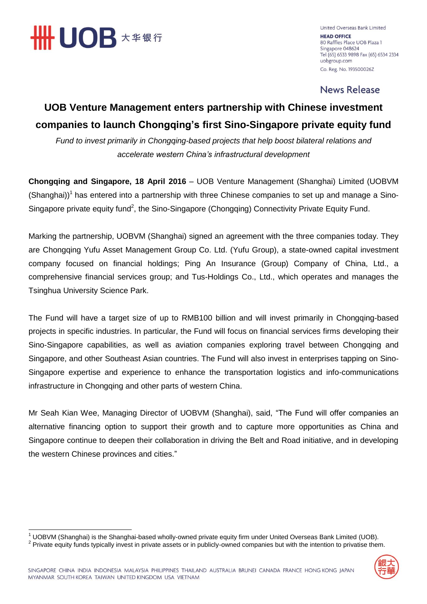

United Overseas Bank Limited **HEAD OFFICE** 80 Raffles Place UOB Plaza 1 Singapore 048624 Tel (65) 6533 9898 Fax (65) 6534 2334 uobgroup.com Co. Reg. No. 193500026Z

**News Release** 

## **UOB Venture Management enters partnership with Chinese investment companies to launch Chongqing's first Sino-Singapore private equity fund**

*Fund to invest primarily in Chongqing-based projects that help boost bilateral relations and accelerate western China's infrastructural development*

**Chongqing and Singapore, 18 April 2016** – UOB Venture Management (Shanghai) Limited (UOBVM  $(Shanghai))^1$  has entered into a partnership with three Chinese companies to set up and manage a Sino-Singapore private equity fund<sup>2</sup>, the Sino-Singapore (Chongqing) Connectivity Private Equity Fund.

Marking the partnership, UOBVM (Shanghai) signed an agreement with the three companies today. They are Chongqing Yufu Asset Management Group Co. Ltd. (Yufu Group), a state-owned capital investment company focused on financial holdings; Ping An Insurance (Group) Company of China, Ltd., a comprehensive financial services group; and Tus-Holdings Co., Ltd., which operates and manages the Tsinghua University Science Park.

The Fund will have a target size of up to RMB100 billion and will invest primarily in Chongqing-based projects in specific industries. In particular, the Fund will focus on financial services firms developing their Sino-Singapore capabilities, as well as aviation companies exploring travel between Chongqing and Singapore, and other Southeast Asian countries. The Fund will also invest in enterprises tapping on Sino-Singapore expertise and experience to enhance the transportation logistics and info-communications infrastructure in Chongqing and other parts of western China.

Mr Seah Kian Wee, Managing Director of UOBVM (Shanghai), said, "The Fund will offer companies an alternative financing option to support their growth and to capture more opportunities as China and Singapore continue to deepen their collaboration in driving the Belt and Road initiative, and in developing the western Chinese provinces and cities."

 $\overline{\phantom{a}}$  $1$  UOBVM (Shanghai) is the Shanghai-based wholly-owned private equity firm under United Overseas Bank Limited (UOB).

 $2$  Private equity funds typically invest in private assets or in publicly-owned companies but with the intention to privatise them.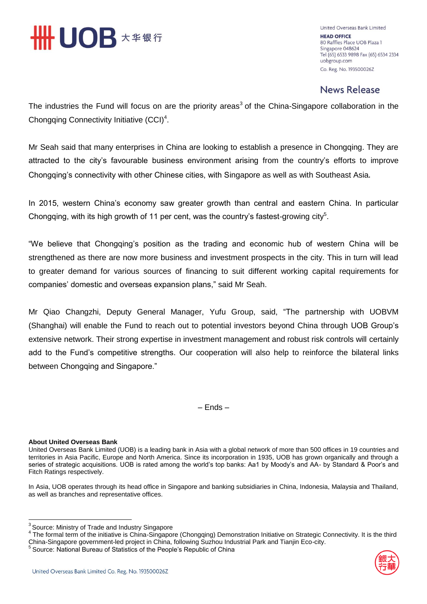

United Overseas Bank Limited **HEAD OFFICE** 80 Raffles Place UOB Plaza 1 Singapore 048624 Tel (65) 6533 9898 Fax (65) 6534 2334 uobgroup.com Co. Reg. No. 193500026Z

## **News Release**

The industries the Fund will focus on are the priority areas<sup>3</sup> of the China-Singapore collaboration in the Chongqing Connectivity Initiative  $(CCl)^4$ .

Mr Seah said that many enterprises in China are looking to establish a presence in Chongqing. They are attracted to the city's favourable business environment arising from the country's efforts to improve Chongqing's connectivity with other Chinese cities, with Singapore as well as with Southeast Asia.

In 2015, western China's economy saw greater growth than central and eastern China. In particular Chongqing, with its high growth of 11 per cent, was the country's fastest-growing city<sup>5</sup>.

"We believe that Chongqing's position as the trading and economic hub of western China will be strengthened as there are now more business and investment prospects in the city. This in turn will lead to greater demand for various sources of financing to suit different working capital requirements for companies' domestic and overseas expansion plans," said Mr Seah.

Mr Qiao Changzhi, Deputy General Manager, Yufu Group, said, "The partnership with UOBVM (Shanghai) will enable the Fund to reach out to potential investors beyond China through UOB Group's extensive network. Their strong expertise in investment management and robust risk controls will certainly add to the Fund's competitive strengths. Our cooperation will also help to reinforce the bilateral links between Chongqing and Singapore."

– Ends –

## **About United Overseas Bank**

United Overseas Bank Limited (UOB) is a leading bank in Asia with a global network of more than 500 offices in 19 countries and territories in Asia Pacific, Europe and North America. Since its incorporation in 1935, UOB has grown organically and through a series of strategic acquisitions. UOB is rated among the world's top banks: Aa1 by Moody's and AA- by Standard & Poor's and Fitch Ratings respectively.

In Asia, UOB operates through its head office in Singapore and banking subsidiaries in China, Indonesia, Malaysia and Thailand, as well as branches and representative offices.



 3 Source: Ministry of Trade and Industry Singapore

<sup>&</sup>lt;sup>4</sup> The formal term of the initiative is China-Singapore (Chongqing) Demonstration Initiative on Strategic Connectivity. It is the third China-Singapore government-led project in China, following Suzhou Industrial Park and Tianjin Eco-city.

<sup>5</sup> Source: National Bureau of Statistics of the People's Republic of China